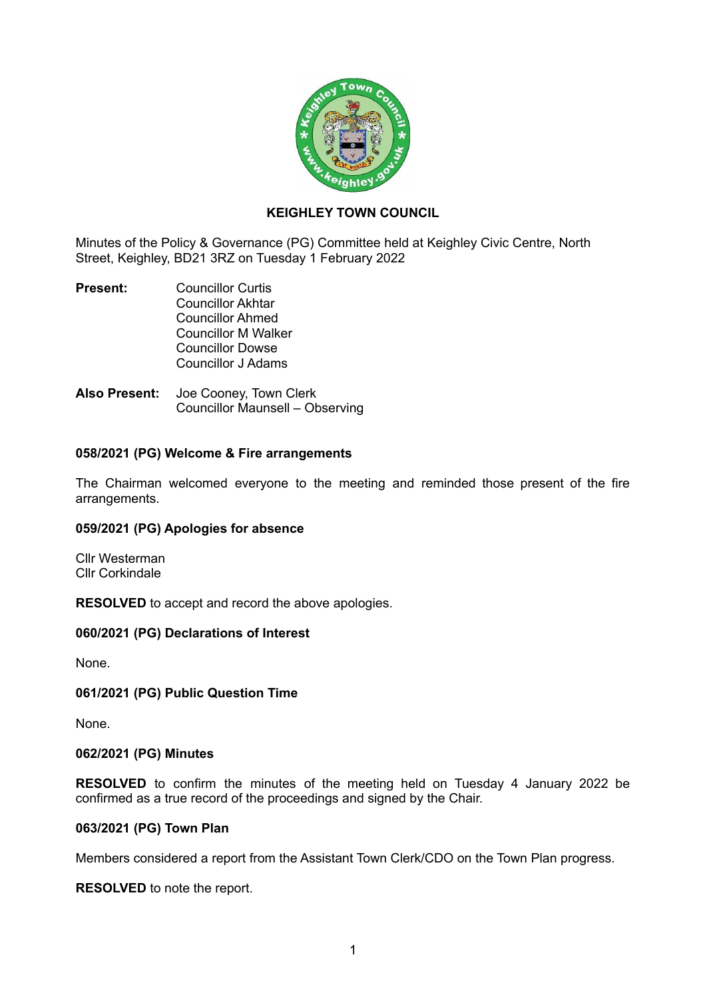

# **KEIGHLEY TOWN COUNCIL**

Minutes of the Policy & Governance (PG) Committee held at Keighley Civic Centre, North Street, Keighley, BD21 3RZ on Tuesday 1 February 2022

- **Present:** Councillor Curtis Councillor Akhtar Councillor Ahmed Councillor M Walker Councillor Dowse Councillor J Adams
- **Also Present:** Joe Cooney, Town Clerk Councillor Maunsell – Observing

# **058/2021 (PG) Welcome & Fire arrangements**

The Chairman welcomed everyone to the meeting and reminded those present of the fire arrangements.

### **059/2021 (PG) Apologies for absence**

Cllr Westerman Cllr Corkindale

**RESOLVED** to accept and record the above apologies.

### **060/2021 (PG) Declarations of Interest**

None.

### **061/2021 (PG) Public Question Time**

None.

### **062/2021 (PG) Minutes**

**RESOLVED** to confirm the minutes of the meeting held on Tuesday 4 January 2022 be confirmed as a true record of the proceedings and signed by the Chair.

#### **063/2021 (PG) Town Plan**

Members considered a report from the Assistant Town Clerk/CDO on the Town Plan progress.

**RESOLVED** to note the report.